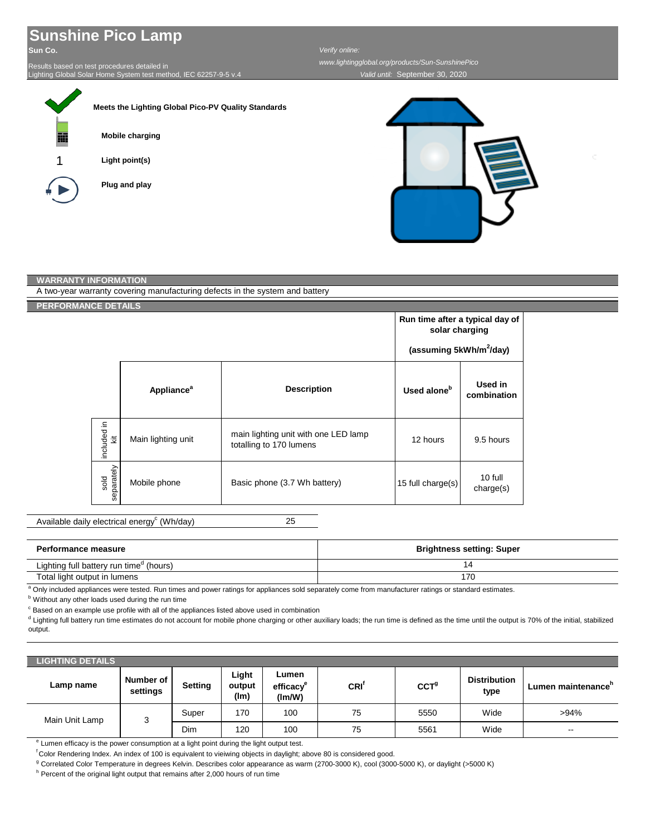## **Sunshine Pico Lamp**

**Sun Co.**

ī

Results based on test procedures detailed in Lighting Global Solar Home System test method, IEC 62257-9-5 v.4

|   | Meets the Lighting Global Pico-PV Quality Standards |
|---|-----------------------------------------------------|
| 丽 | <b>Mobile charging</b>                              |
| 1 | Light point(s)                                      |
|   | Plug and play                                       |
|   |                                                     |

*Valid until:* September 30, 2020

*www.lightingglobal.org/products/Sun-SunshinePico*

*Verify online:* 

| <b>WARRANTY INFORMATION</b> |                    |                        |                                                                              |                                                                                          |                        |  |
|-----------------------------|--------------------|------------------------|------------------------------------------------------------------------------|------------------------------------------------------------------------------------------|------------------------|--|
|                             |                    |                        | A two-year warranty covering manufacturing defects in the system and battery |                                                                                          |                        |  |
| <b>PERFORMANCE DETAILS</b>  |                    |                        |                                                                              |                                                                                          |                        |  |
|                             |                    |                        |                                                                              | Run time after a typical day of<br>solar charging<br>(assuming 5kWh/m <sup>2</sup> /day) |                        |  |
|                             |                    | Appliance <sup>a</sup> | <b>Description</b>                                                           | Used alone <sup>b</sup>                                                                  | Used in<br>combination |  |
|                             | included in<br>ä   | Main lighting unit     | main lighting unit with one LED lamp<br>totalling to 170 lumens              | 12 hours                                                                                 | 9.5 hours              |  |
|                             | separately<br>sold | Mobile phone           | Basic phone (3.7 Wh battery)                                                 | 15 full charge(s)                                                                        | 10 full<br>charge(s)   |  |

25 Available daily electrical energy<sup>c</sup> (Wh/day)

| <b>Performance measure</b>                          | <b>Brightness setting: Super</b> |
|-----------------------------------------------------|----------------------------------|
| Lighting full battery run time <sup>d</sup> (hours) | 14                               |
| Total light output in lumens                        | 170                              |

<sup>a</sup> Only included appliances were tested. Run times and power ratings for appliances sold separately come from manufacturer ratings or standard estimates.

**b** Without any other loads used during the run time

<sup>c</sup> Based on an example use profile with all of the appliances listed above used in combination

<sup>d</sup> Lighting full battery run time estimates do not account for mobile phone charging or other auxiliary loads; the run time is defined as the time until the output is 70% of the initial, stabilized output.

| LIGHTING DETAILS <b>\</b> |                       |         |                         |                                                        |      |                  |                             |                                |
|---------------------------|-----------------------|---------|-------------------------|--------------------------------------------------------|------|------------------|-----------------------------|--------------------------------|
| Lamp name                 | Number of<br>settings | Setting | Light<br>output<br>(lm) | Lumen<br>efficacy <sup>e</sup><br>$\text{Im}/\text{W}$ | CRI' | CCT <sup>g</sup> | <b>Distribution</b><br>type | Lumen maintenance <sup>h</sup> |
| Main Unit Lamp            | 3                     | Super   | 170                     | 100                                                    | 75   | 5550             | Wide                        | $>94\%$                        |
|                           |                       | Dim     | 120                     | 100                                                    | 75   | 5561             | Wide                        | $\sim$ $\sim$                  |

<sup>e</sup> Lumen efficacy is the power consumption at a light point during the light output test.

f Color Rendering Index. An index of 100 is equivalent to vieiwing objects in daylight; above 80 is considered good.

<sup>g</sup> Correlated Color Temperature in degrees Kelvin. Describes color appearance as warm (2700-3000 K), cool (3000-5000 K), or daylight (>5000 K)

<sup>h</sup> Percent of the original light output that remains after 2,000 hours of run time